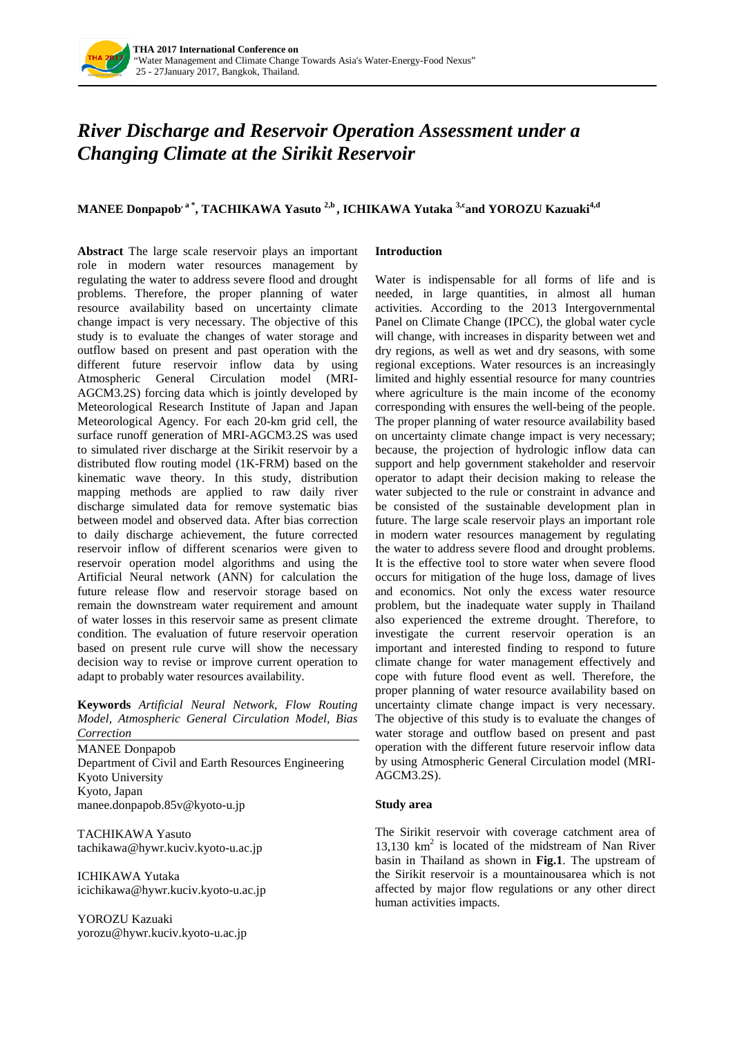

# *River Discharge and Reservoir Operation Assessment under a Changing Climate at the Sirikit Reservoir*

# **MANEE Donpapob<sup>, a\*</sup>, TACHIKAWA Yasuto<sup>2,b</sup>, ICHIKAWA Yutaka<sup>3,c</sup>and YOROZU Kazuaki<sup>4,d</sup>**

**Abstract** The large scale reservoir plays an important role in modern water resources management by regulating the water to address severe flood and drought problems. Therefore, the proper planning of water resource availability based on uncertainty climate change impact is very necessary. The objective of this study is to evaluate the changes of water storage and outflow based on present and past operation with the different future reservoir inflow data by using Atmospheric General Circulation model (MRI-AGCM3.2S) forcing data which is jointly developed by Meteorological Research Institute of Japan and Japan Meteorological Agency. For each 20-km grid cell, the surface runoff generation of MRI-AGCM3.2S was used to simulated river discharge at the Sirikit reservoir by a distributed flow routing model (1K-FRM) based on the kinematic wave theory. In this study, distribution mapping methods are applied to raw daily river discharge simulated data for remove systematic bias between model and observed data. After bias correction to daily discharge achievement, the future corrected reservoir inflow of different scenarios were given to reservoir operation model algorithms and using the Artificial Neural network (ANN) for calculation the future release flow and reservoir storage based on remain the downstream water requirement and amount of water losses in this reservoir same as present climate condition. The evaluation of future reservoir operation based on present rule curve will show the necessary decision way to revise or improve current operation to adapt to probably water resources availability.

**Keywords** *Artificial Neural Network, Flow Routing Model, Atmospheric General Circulation Model, Bias Correction*

MANEE Donpapob Department of Civil and Earth Resources Engineering Kyoto University Kyoto, Japan manee.donpapob.85v@kyoto-u.jp

TACHIKAWA Yasuto tachikawa@hywr.kuciv.kyoto-u.ac.jp

ICHIKAWA Yutaka icichikawa@hywr.kuciv.kyoto-u.ac.jp

YOROZU Kazuaki yorozu@hywr.kuciv.kyoto-u.ac.jp

## **Introduction**

Water is indispensable for all forms of life and is needed, in large quantities, in almost all human activities. According to the 2013 Intergovernmental Panel on Climate Change (IPCC), the global water cycle will change, with increases in disparity between wet and dry regions, as well as wet and dry seasons, with some regional exceptions. Water resources is an increasingly limited and highly essential resource for many countries where agriculture is the main income of the economy corresponding with ensures the well-being of the people. The proper planning of water resource availability based on uncertainty climate change impact is very necessary; because, the projection of hydrologic inflow data can support and help government stakeholder and reservoir operator to adapt their decision making to release the water subjected to the rule or constraint in advance and be consisted of the sustainable development plan in future. The large scale reservoir plays an important role in modern water resources management by regulating the water to address severe flood and drought problems. It is the effective tool to store water when severe flood occurs for mitigation of the huge loss, damage of lives and economics. Not only the excess water resource problem, but the inadequate water supply in Thailand also experienced the extreme drought. Therefore, to investigate the current reservoir operation is an important and interested finding to respond to future climate change for water management effectively and cope with future flood event as well. Therefore, the proper planning of water resource availability based on uncertainty climate change impact is very necessary. The objective of this study is to evaluate the changes of water storage and outflow based on present and past operation with the different future reservoir inflow data by using Atmospheric General Circulation model (MRI-AGCM3.2S).

#### **Study area**

The Sirikit reservoir with coverage catchment area of 13,130  $km^2$  is located of the midstream of Nan River basin in Thailand as shown in **Fig.1**. The upstream of the Sirikit reservoir is a mountainousarea which is not affected by major flow regulations or any other direct human activities impacts.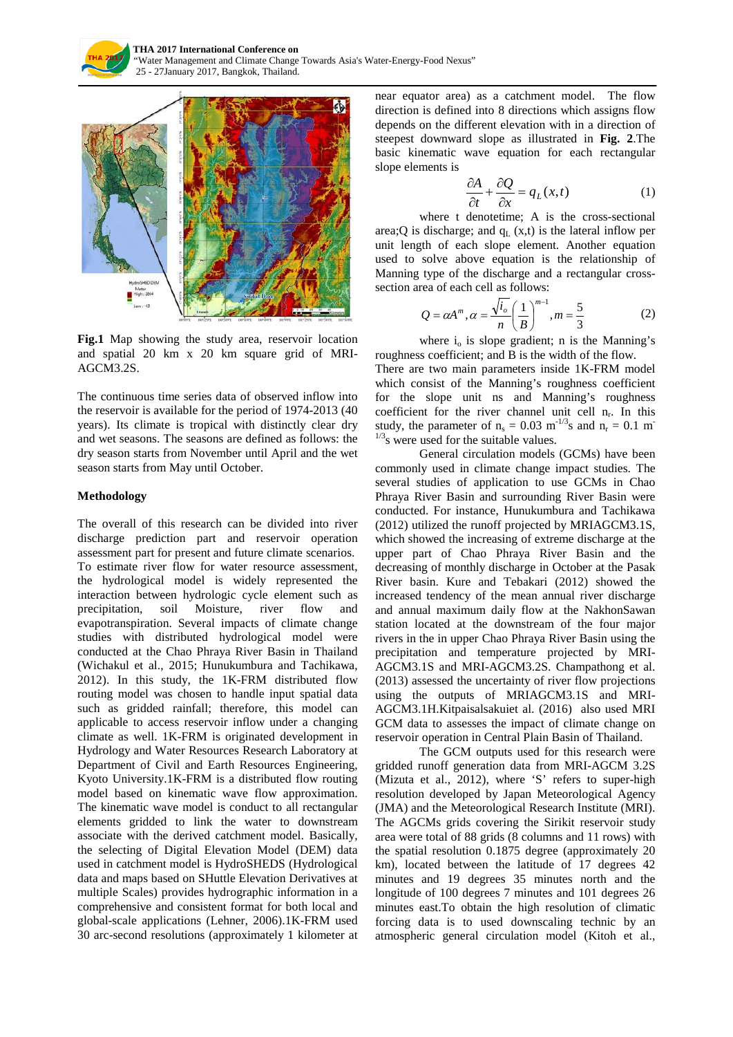



**Fig.1** Map showing the study area, reservoir location and spatial 20 km x 20 km square grid of MRI-AGCM3.2S.

The continuous time series data of observed inflow into the reservoir is available for the period of 1974-2013 (40 years). Its climate is tropical with distinctly clear dry and wet seasons. The seasons are defined as follows: the dry season starts from November until April and the wet season starts from May until October.

#### **Methodology**

The overall of this research can be divided into river discharge prediction part and reservoir operation assessment part for present and future climate scenarios. To estimate river flow for water resource assessment, the hydrological model is widely represented the interaction between hydrologic cycle element such as precipitation, soil Moisture, river flow and evapotranspiration. Several impacts of climate change studies with distributed hydrological model were conducted at the Chao Phraya River Basin in Thailand (Wichakul et al., 2015; Hunukumbura and Tachikawa, 2012). In this study, the 1K-FRM distributed flow routing model was chosen to handle input spatial data such as gridded rainfall; therefore, this model can applicable to access reservoir inflow under a changing climate as well. 1K-FRM is originated development in Hydrology and Water Resources Research Laboratory at Department of Civil and Earth Resources Engineering, Kyoto University.1K-FRM is a distributed flow routing model based on kinematic wave flow approximation. The kinematic wave model is conduct to all rectangular elements gridded to link the water to downstream associate with the derived catchment model. Basically, the selecting of Digital Elevation Model (DEM) data used in catchment model is HydroSHEDS (Hydrological data and maps based on SHuttle Elevation Derivatives at multiple Scales) provides hydrographic information in a comprehensive and consistent format for both local and global-scale applications (Lehner, 2006).1K-FRM used 30 arc-second resolutions (approximately 1 kilometer at

near equator area) as a catchment model. The flow direction is defined into 8 directions which assigns flow depends on the different elevation with in a direction of steepest downward slope as illustrated in **Fig. 2**.The basic kinematic wave equation for each rectangular slope elements is

$$
\frac{\partial A}{\partial t} + \frac{\partial Q}{\partial x} = q_L(x, t) \tag{1}
$$

where t denotetime; A is the cross-sectional area; Q is discharge; and  $q_L (x,t)$  is the lateral inflow per unit length of each slope element. Another equation used to solve above equation is the relationship of Manning type of the discharge and a rectangular crosssection area of each cell as follows:

$$
Q = \alpha A^{m}, \alpha = \frac{\sqrt{i_o}}{n} \left(\frac{1}{B}\right)^{m-1}, m = \frac{5}{3}
$$
 (2)

where  $i_0$  is slope gradient; n is the Manning's roughness coefficient; and B is the width of the flow.

There are two main parameters inside 1K-FRM model which consist of the Manning's roughness coefficient for the slope unit ns and Manning's roughness coefficient for the river channel unit cell  $n_r$ . In this study, the parameter of  $n_s = 0.03$  m<sup>-1/3</sup>s and  $n_r = 0.1$  m<sup>-1</sup>  $1/3$ <sub>s</sub> were used for the suitable values.

General circulation models (GCMs) have been commonly used in climate change impact studies. The several studies of application to use GCMs in Chao Phraya River Basin and surrounding River Basin were conducted. For instance, Hunukumbura and Tachikawa (2012) utilized the runoff projected by MRIAGCM3.1S, which showed the increasing of extreme discharge at the upper part of Chao Phraya River Basin and the decreasing of monthly discharge in October at the Pasak River basin. Kure and Tebakari (2012) showed the increased tendency of the mean annual river discharge and annual maximum daily flow at the NakhonSawan station located at the downstream of the four major rivers in the in upper Chao Phraya River Basin using the precipitation and temperature projected by MRI-AGCM3.1S and MRI-AGCM3.2S. Champathong et al. (2013) assessed the uncertainty of river flow projections using the outputs of MRIAGCM3.1S and MRI-AGCM3.1H.Kitpaisalsakuiet al. (2016) also used MRI GCM data to assesses the impact of climate change on reservoir operation in Central Plain Basin of Thailand.

The GCM outputs used for this research were gridded runoff generation data from MRI-AGCM 3.2S (Mizuta et al., 2012), where 'S' refers to super-high resolution developed by Japan Meteorological Agency (JMA) and the Meteorological Research Institute (MRI). The AGCMs grids covering the Sirikit reservoir study area were total of 88 grids (8 columns and 11 rows) with the spatial resolution 0.1875 degree (approximately 20 km), located between the latitude of 17 degrees 42 minutes and 19 degrees 35 minutes north and the longitude of 100 degrees 7 minutes and 101 degrees 26 minutes east.To obtain the high resolution of climatic forcing data is to used downscaling technic by an atmospheric general circulation model (Kitoh et al.,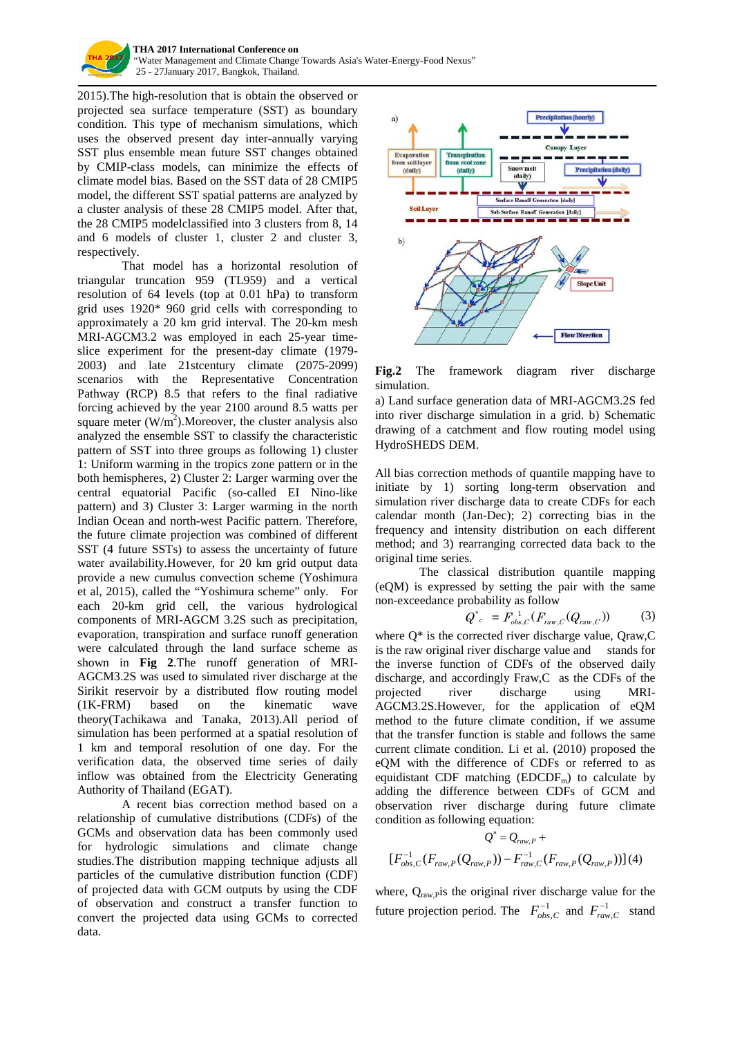

**THA 2017 International Conference on**  "Water Management and Climate Change Towards Asia's Water-Energy-Food Nexus" 25 - 27January 2017, Bangkok, Thailand.

2015).The high-resolution that is obtain the observed or projected sea surface temperature (SST) as boundary condition. This type of mechanism simulations, which uses the observed present day inter-annually varying SST plus ensemble mean future SST changes obtained by CMIP-class models, can minimize the effects of climate model bias. Based on the SST data of 28 CMIP5 model, the different SST spatial patterns are analyzed by a cluster analysis of these 28 CMIP5 model. After that, the 28 CMIP5 modelclassified into 3 clusters from 8, 14 and 6 models of cluster 1, cluster 2 and cluster 3, respectively.

That model has a horizontal resolution of triangular truncation 959 (TL959) and a vertical resolution of 64 levels (top at 0.01 hPa) to transform grid uses 1920\* 960 grid cells with corresponding to approximately a 20 km grid interval. The 20-km mesh MRI-AGCM3.2 was employed in each 25-year timeslice experiment for the present-day climate (1979- 2003) and late 21stcentury climate (2075-2099) scenarios with the Representative Concentration Pathway (RCP) 8.5 that refers to the final radiative forcing achieved by the year 2100 around 8.5 watts per square meter  $(W/m^2)$ . Moreover, the cluster analysis also analyzed the ensemble SST to classify the characteristic pattern of SST into three groups as following 1) cluster 1: Uniform warming in the tropics zone pattern or in the both hemispheres, 2) Cluster 2: Larger warming over the central equatorial Pacific (so-called EI Nino-like pattern) and 3) Cluster 3: Larger warming in the north Indian Ocean and north-west Pacific pattern. Therefore, the future climate projection was combined of different SST (4 future SSTs) to assess the uncertainty of future water availability.However, for 20 km grid output data provide a new cumulus convection scheme (Yoshimura et al, 2015), called the "Yoshimura scheme" only. For each 20-km grid cell, the various hydrological components of MRI-AGCM 3.2S such as precipitation, evaporation, transpiration and surface runoff generation were calculated through the land surface scheme as shown in **Fig 2**.The runoff generation of MRI-AGCM3.2S was used to simulated river discharge at the Sirikit reservoir by a distributed flow routing model (1K-FRM) based on the kinematic wave theory(Tachikawa and Tanaka, 2013).All period of simulation has been performed at a spatial resolution of 1 km and temporal resolution of one day. For the verification data, the observed time series of daily inflow was obtained from the Electricity Generating Authority of Thailand (EGAT).

A recent bias correction method based on a relationship of cumulative distributions (CDFs) of the GCMs and observation data has been commonly used for hydrologic simulations and climate change studies.The distribution mapping technique adjusts all particles of the cumulative distribution function (CDF) of projected data with GCM outputs by using the CDF of observation and construct a transfer function to convert the projected data using GCMs to corrected data.



**Fig.2** The framework diagram river discharge simulation.

a) Land surface generation data of MRI-AGCM3.2S fed into river discharge simulation in a grid. b) Schematic drawing of a catchment and flow routing model using HydroSHEDS DEM.

All bias correction methods of quantile mapping have to initiate by 1) sorting long-term observation and simulation river discharge data to create CDFs for each calendar month (Jan-Dec); 2) correcting bias in the frequency and intensity distribution on each different method; and 3) rearranging corrected data back to the original time series.

The classical distribution quantile mapping (eQM) is expressed by setting the pair with the same non-exceedance probability as follow

$$
Q^*_{c} = F_{obs,C}^{-1}(F_{raw,C}(Q_{raw,C}))
$$
 (3)

where  $Q^*$  is the corrected river discharge value, Oraw, C is the raw original river discharge value and stands for the inverse function of CDFs of the observed daily discharge, and accordingly Fraw,C as the CDFs of the projected river discharge using MRI-AGCM3.2S.However, for the application of eQM method to the future climate condition, if we assume that the transfer function is stable and follows the same current climate condition. Li et al. (2010) proposed the eQM with the difference of CDFs or referred to as equidistant CDF matching  $(EDCDF_m)$  to calculate by adding the difference between CDFs of GCM and observation river discharge during future climate condition as following equation:

$$
Q^* = Q_{raw,P} +
$$
  
[ $F_{obs,C}^{-1}(F_{raw,P}(Q_{raw,P})) - F_{raw,C}^{-1}(F_{raw,P}(Q_{raw,P}))](4)$ 

where,  $Q_{\text{raw},\text{pix}}$  the original river discharge value for the future projection period. The  $F_{obs, C}^{-1}$  and  $F_{raw, C}^{-1}$  stand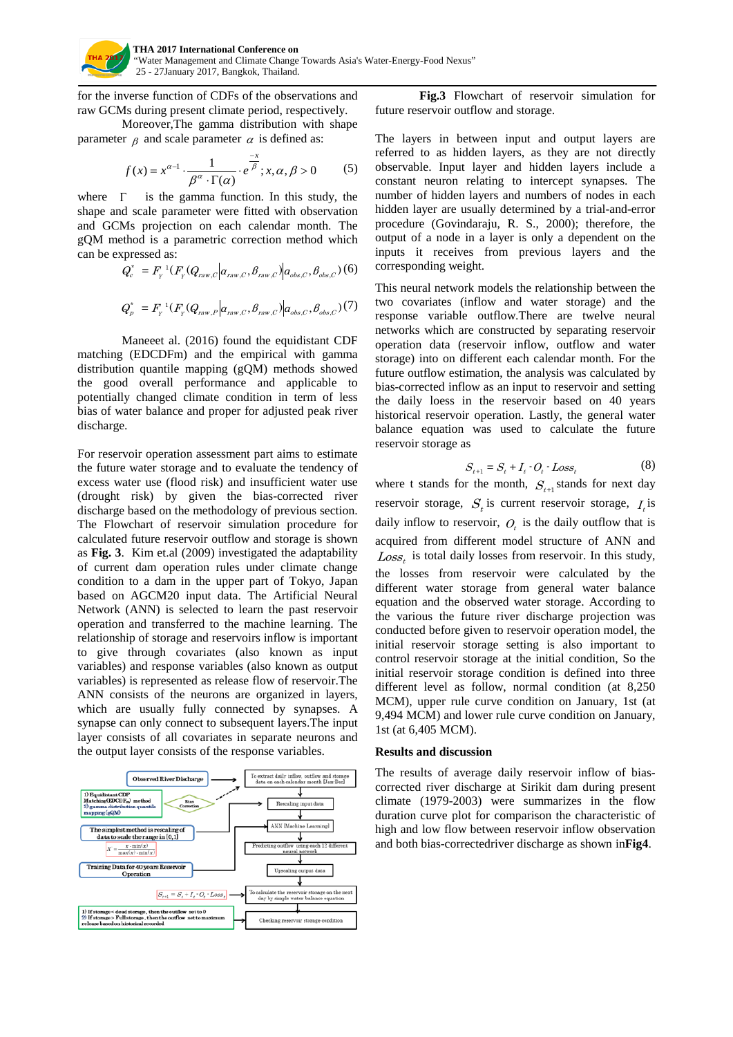

for the inverse function of CDFs of the observations and raw GCMs during present climate period, respectively.

Moreover,The gamma distribution with shape parameter  $\beta$  and scale parameter  $\alpha$  is defined as:

$$
f(x) = x^{\alpha - 1} \cdot \frac{1}{\beta^{\alpha} \cdot \Gamma(\alpha)} \cdot e^{\frac{-x}{\beta}}; x, \alpha, \beta > 0
$$
 (5)

where  $\Gamma$  is the gamma function. In this study, the shape and scale parameter were fitted with observation and GCMs projection on each calendar month. The gQM method is a parametric correction method which can be expressed as:

$$
Q_c^* = F_Y^{-1}(F_Y(Q_{raw,C} | a_{raw,C}, \beta_{raw,C}) | a_{obs,C}, \beta_{obs,C})
$$
 (6)

$$
Q_{_{P}}^{^{\ast}}=F_{_{Y}}^{^{1}}(F_{_{Y}}(Q_{_{raw},P}\big| \boldsymbol{a}_{raw,\mathcal{C}},\boldsymbol{\beta}_{raw,\mathcal{C}})\big| \boldsymbol{a}_{obs,\mathcal{C}},\boldsymbol{\beta}_{obs,\mathcal{C}})(7)
$$

Maneeet al. (2016) found the equidistant CDF matching (EDCDFm) and the empirical with gamma distribution quantile mapping (gQM) methods showed the good overall performance and applicable to potentially changed climate condition in term of less bias of water balance and proper for adjusted peak river discharge.

For reservoir operation assessment part aims to estimate the future water storage and to evaluate the tendency of excess water use (flood risk) and insufficient water use (drought risk) by given the bias-corrected river discharge based on the methodology of previous section. The Flowchart of reservoir simulation procedure for calculated future reservoir outflow and storage is shown as **Fig. 3**. Kim et.al (2009) investigated the adaptability of current dam operation rules under climate change condition to a dam in the upper part of Tokyo, Japan based on AGCM20 input data. The Artificial Neural Network (ANN) is selected to learn the past reservoir operation and transferred to the machine learning. The relationship of storage and reservoirs inflow is important to give through covariates (also known as input variables) and response variables (also known as output variables) is represented as release flow of reservoir.The ANN consists of the neurons are organized in layers, which are usually fully connected by synapses. A synapse can only connect to subsequent layers.The input layer consists of all covariates in separate neurons and the output layer consists of the response variables.



**Fig.3** Flowchart of reservoir simulation for future reservoir outflow and storage.

The layers in between input and output layers are referred to as hidden layers, as they are not directly observable. Input layer and hidden layers include a constant neuron relating to intercept synapses. The number of hidden layers and numbers of nodes in each hidden layer are usually determined by a trial-and-error procedure (Govindaraju, R. S., 2000); therefore, the output of a node in a layer is only a dependent on the inputs it receives from previous layers and the corresponding weight.

This neural network models the relationship between the two covariates (inflow and water storage) and the response variable outflow.There are twelve neural networks which are constructed by separating reservoir operation data (reservoir inflow, outflow and water storage) into on different each calendar month. For the future outflow estimation, the analysis was calculated by bias-corrected inflow as an input to reservoir and setting the daily loess in the reservoir based on 40 years historical reservoir operation. Lastly, the general water balance equation was used to calculate the future reservoir storage as

$$
S_{t+1} = S_t + I_t \cdot O_t \cdot Loss_t \tag{8}
$$

where t stands for the month,  $S_{t+1}$  stands for next day reservoir storage,  $S_t$  is current reservoir storage,  $I_t$  is daily inflow to reservoir,  $O_t$  is the daily outflow that is acquired from different model structure of ANN and  $Loss<sub>i</sub>$  is total daily losses from reservoir. In this study, the losses from reservoir were calculated by the different water storage from general water balance equation and the observed water storage. According to the various the future river discharge projection was conducted before given to reservoir operation model, the initial reservoir storage setting is also important to control reservoir storage at the initial condition, So the initial reservoir storage condition is defined into three different level as follow, normal condition (at 8,250 MCM), upper rule curve condition on January, 1st (at 9,494 MCM) and lower rule curve condition on January, 1st (at 6,405 MCM).

#### **Results and discussion**

The results of average daily reservoir inflow of biascorrected river discharge at Sirikit dam during present climate (1979-2003) were summarizes in the flow duration curve plot for comparison the characteristic of high and low flow between reservoir inflow observation and both bias-correctedriver discharge as shown in**Fig4**.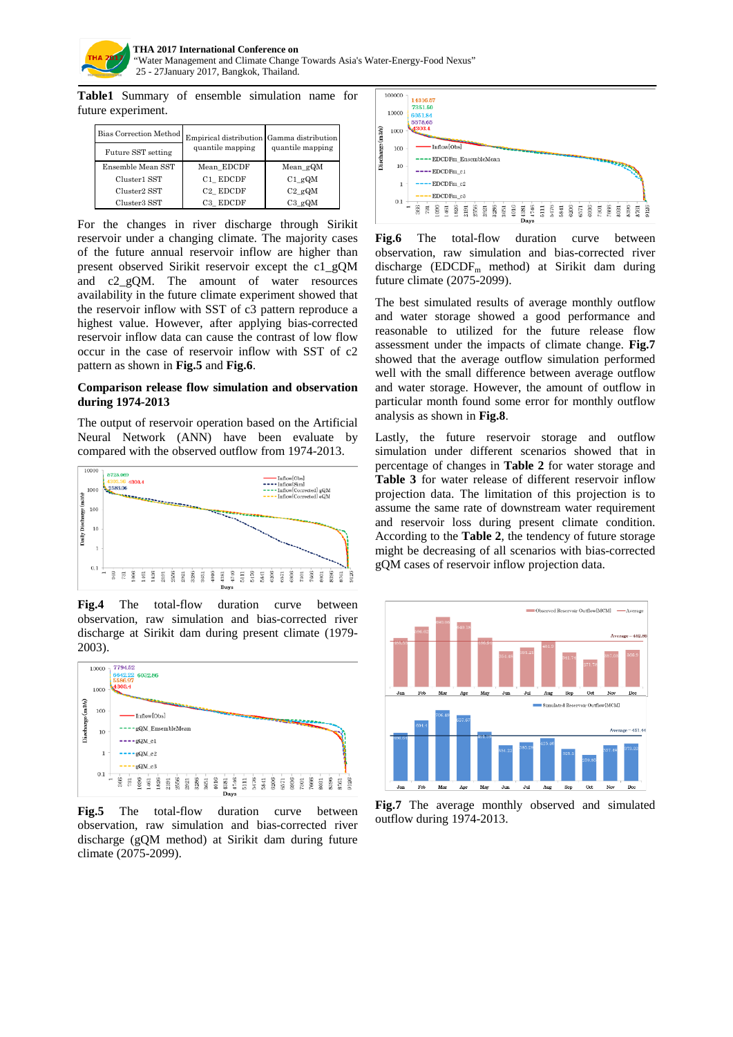

**Table1** Summary of ensemble simulation name for future experiment.

| Bias Correction Method | Empirical distribution Gamma distribution |                  |
|------------------------|-------------------------------------------|------------------|
| Future SST setting     | quantile mapping                          | quantile mapping |
| Ensemble Mean SST      | Mean EDCDF                                | Mean gQM         |
| Cluster1 SST           | C1 EDCDF                                  | $C1$ gQM         |
| Cluster2 SST           | C <sub>2</sub> EDCDF                      | $C2 \text{ gQM}$ |
| Cluster3 SST           | C3 EDCDF                                  | $C3$ gQM         |

For the changes in river discharge through Sirikit reservoir under a changing climate. The majority cases of the future annual reservoir inflow are higher than present observed Sirikit reservoir except the c1\_gQM and c2\_gQM. The amount of water resources availability in the future climate experiment showed that the reservoir inflow with SST of c3 pattern reproduce a highest value. However, after applying bias-corrected reservoir inflow data can cause the contrast of low flow occur in the case of reservoir inflow with SST of c2 pattern as shown in **Fig.5** and **Fig.6**.

### **Comparison release flow simulation and observation during 1974-2013**

The output of reservoir operation based on the Artificial Neural Network (ANN) have been evaluate by compared with the observed outflow from 1974-2013.



**Fig.4** The total-flow duration curve between observation, raw simulation and bias-corrected river discharge at Sirikit dam during present climate (1979- 2003).



**Fig.5** The total-flow duration curve between observation, raw simulation and bias-corrected river discharge (gQM method) at Sirikit dam during future climate (2075-2099).



Fig.6 The total-flow duration curve between observation, raw simulation and bias-corrected river discharge ( $EDCDF_m$  method) at Sirikit dam during future climate (2075-2099).

The best simulated results of average monthly outflow and water storage showed a good performance and reasonable to utilized for the future release flow assessment under the impacts of climate change. **Fig.7** showed that the average outflow simulation performed well with the small difference between average outflow and water storage. However, the amount of outflow in particular month found some error for monthly outflow analysis as shown in **Fig.8**.

Lastly, the future reservoir storage and outflow simulation under different scenarios showed that in percentage of changes in **Table 2** for water storage and **Table 3** for water release of different reservoir inflow projection data. The limitation of this projection is to assume the same rate of downstream water requirement and reservoir loss during present climate condition. According to the **Table 2**, the tendency of future storage might be decreasing of all scenarios with bias-corrected gQM cases of reservoir inflow projection data.



**Fig.7** The average monthly observed and simulated outflow during 1974-2013.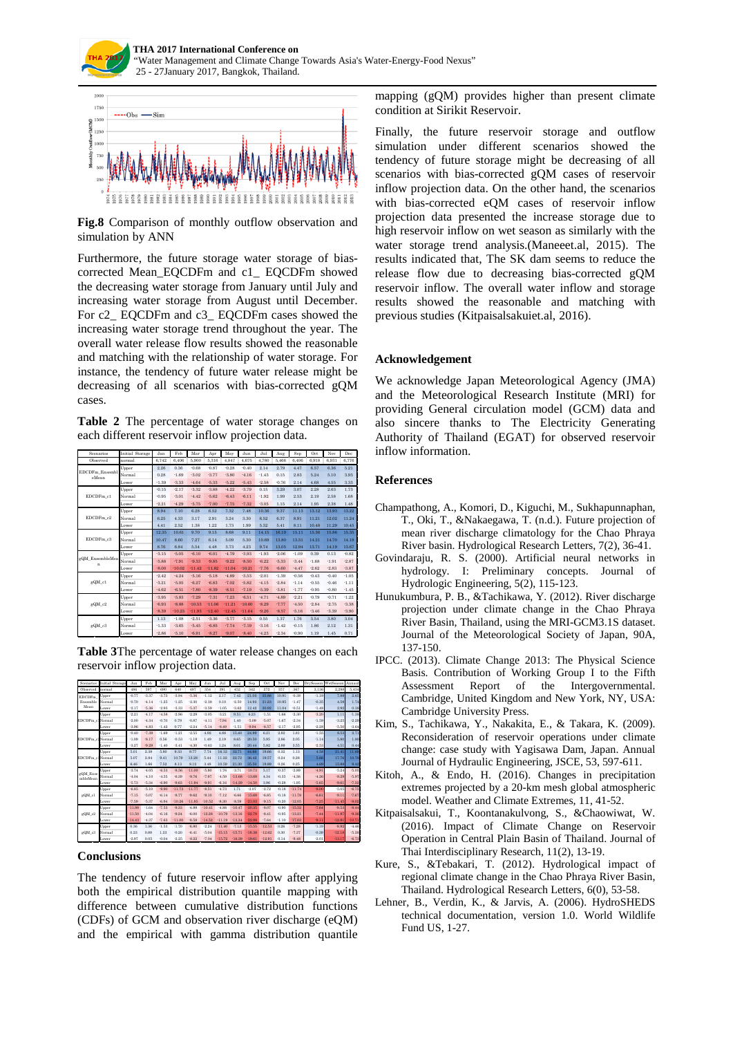



**Fig.8** Comparison of monthly outflow observation and simulation by ANN

Furthermore, the future storage water storage of biascorrected Mean\_EQCDFm and c1\_ EQCDFm showed the decreasing water storage from January until July and increasing water storage from August until December. For c2 EQCDFm and c3 EQCDFm cases showed the increasing water storage trend throughout the year. The overall water release flow results showed the reasonable and matching with the relationship of water storage. For instance, the tendency of future water release might be decreasing of all scenarios with bias-corrected gQM cases.

**Table 2** The percentage of water storage changes on each different reservoir inflow projection data.

| Scenarios               | Initial Storage | Jan     | Feb      | Mar      | Apr      | May      | Jun      | Jul     | Aug     | Sep     | Oct     | Nov     | Dec     |
|-------------------------|-----------------|---------|----------|----------|----------|----------|----------|---------|---------|---------|---------|---------|---------|
| Observed                | normal          | 6.742   | 6.406    | 5,900    | 5.316    | 4.847    | 4,675    | 4.780   | 5.466   | 6.406   | 6.918   | 6.931   | 6.776   |
| EDCDFm Ensembl<br>eMean | Upper           | 2.26    | 0.36     | $-0.68$  | $-0.87$  | $-0.28$  | $-0.40$  | 2.14    | 2.79    | 4.47    | 6.57    | 6.36    | 5.21    |
|                         | Normal          | 0.28    | $-1.69$  | $-3.02$  | $-3.77$  | $-3.80$  | $-4.16$  | $-1.43$ | 0.15    | 2.83    | 5.24    | 5.10    | 3.93    |
|                         | Lower           | $-1.39$ | $-3.33$  | $-4.64$  | $-5.33$  | $-5.22$  | $-5.43$  | $-2.58$ | $-0.76$ | 2.14    | 4.68    | 4.55    | 3.33    |
| EDCDFm c1               | Upper           | $-0.15$ | $-2.17$  | $-3.32$  | $-3.88$  | $-4.22$  | $-3.79$  | 0.15    | 3.29    | 3.07    | 2.28    | 2.63    | 1.73    |
|                         | Normal          | $-0.95$ | $-3.01$  | $-4.42$  | $-5.62$  | $-6.43$  | $-6.11$  | $-1.92$ | 1.99    | 2.53    | 2.19    | 2.58    | 1.68    |
|                         | Lower           | $-2.21$ | $-4.29$  | $-5.75$  | $-7.00$  | $-7.75$  | $-7.32$  | $-3.05$ | 1.15    | 2.14    | 1.95    | 2.38    | 1.48    |
| EDCDFm c2               | Upper           | 8.94    | 7.10     | 6.28     | 6.52     | 7.32     | 7.48     | 10.36   | 9.37    | 11.13   | 13.12   | 13.93   | 13.22   |
|                         | Normal          | 6.25    | 4.33     | 3.17     | 2.91     | 3.24     | 3.30     | 6.52    | 6.37    | 8.91    | 11.21   | 12.02   | 11.24   |
|                         | Lower           | 4.41    | 2.52     | 1.38     | 1.22     | 1.73     | 1.99     | 5.32    | 5.41    | 8.11    | 10.48   | 11.29   | 10.45   |
| EDCDFm c3               | Upper           | 12.35   | 10.61    | 9.70     | 9.15     | 8.68     | 9.11     | 14.15   | 16.19   | 15.11   | 15.36   | 15.86   | 15.35   |
|                         | Normal          | 10.47   | 8.60     | 7.27     | 6.14     | 5.09     | 5.30     | 10.69   | 13.80   | 13.51   | 14.21   | 14.70   | 14.18   |
|                         | Lower           | 8.76    | 6.84     | 5.54     | 4.48     | 3.73     | 4.23     | 9.74    | 13.05   | 12.94   | 13.71   | 14.19   | 13.67   |
| gQM EnsembleMea<br>n    | Upper           | $-3.15$ | $-5.05$  | $-6.10$  | $-6.01$  | $-4.79$  | $-3.93$  | $-1.93$ | $-2.06$ | $-1.09$ | 0.39    | 0.13    | $-0.82$ |
|                         | Normal          | $-5.88$ | $-7.91$  | $-9.33$  | $-9.85$  | $-9.22$  | $-8.50$  | $-6.22$ | $-5.33$ | $-3.44$ | $-1.68$ | $-1.91$ | $-2.87$ |
|                         | Lower           | $-8.00$ | $-10.02$ | $-11.42$ | $-11.82$ | $-11.04$ | $-10.21$ | $-7.76$ | $-6.60$ | $-4.47$ | $-2.62$ | $-2.83$ | $-3.87$ |
| gQM_c1                  | Upper           | $-2.42$ | $-4.24$  | $-5.16$  | $-5.18$  | $-4.89$  | $-3.53$  | $-2.01$ | $-1.39$ | $-0.56$ | $-0.43$ | $-0.40$ | $-1.05$ |
|                         | Normal          | $-3.21$ | $-5.05$  | $-6.27$  | $-6.83$  | $-7.02$  | $-5.82$  | $-4.15$ | $-2.84$ | $-1.14$ | $-0.55$ | $-0.46$ | $-1.11$ |
|                         | Lower           | $-4.62$ | $-6.51$  | $-7.80$  | $-8.39$  | $-8.51$  | $-7.19$  | $-5.39$ | $-3.81$ | $-1.77$ | $-0.95$ | $-0.80$ | $-1.45$ |
| gQM_c2                  | Upper           | $-3.95$ | $-5.83$  | $-7.29$  | $-7.31$  | $-7.23$  | $-6.51$  | $-4.71$ | $-4.89$ | $-2.21$ | $-0.79$ | $-0.71$ | $-1.22$ |
|                         | Normal          | $-6.93$ | $-8.88$  | $-10.53$ | $-11.06$ | $-11.21$ | $-10.60$ | $-8.29$ | $-7.77$ | $-4.50$ | $-2.84$ | $-2.75$ | $-3.38$ |
|                         | Lower           | $-8.39$ | $-10.25$ | $-11.93$ | $-12.40$ | $-12.45$ | $-11.64$ | $-9.26$ | $-8.57$ | $-5.16$ | $-3.46$ | $-3.39$ | $-3.90$ |
| gQM_c3                  | Upper           | 1.13    | $-1.08$  | $-2.51$  | $-3.36$  | $-3.77$  | $-3.15$  | 0.55    | 1.37    | 1.76    | 3.54    | 3.80    | 3.04    |
|                         | Normal          | $-1.33$ | $-3.65$  | $-5.45$  | $-6.85$  | $-7.74$  | $-7.19$  | $-3.16$ | $-1.42$ | $-0.15$ | 1.86    | 2.12    | 1.31    |
|                         | Lower           | $-2.86$ | $-5.10$  | $-6.91$  | $-8.27$  | $-9.07$  | $-8.40$  | $-4.23$ | $-2.34$ | $-0.90$ | 1 1 9   | 1.45    | 0.71    |

**Table 3**The percentage of water release changes on each reservoir inflow projection data.



#### **Conclusions**

The tendency of future reservoir inflow after applying both the empirical distribution quantile mapping with difference between cumulative distribution functions (CDFs) of GCM and observation river discharge (eQM) and the empirical with gamma distribution quantile

mapping (gQM) provides higher than present climate condition at Sirikit Reservoir.

Finally, the future reservoir storage and outflow simulation under different scenarios showed the tendency of future storage might be decreasing of all scenarios with bias-corrected gQM cases of reservoir inflow projection data. On the other hand, the scenarios with bias-corrected eQM cases of reservoir inflow projection data presented the increase storage due to high reservoir inflow on wet season as similarly with the water storage trend analysis.(Maneeet.al, 2015). The results indicated that, The SK dam seems to reduce the release flow due to decreasing bias-corrected gQM reservoir inflow. The overall water inflow and storage results showed the reasonable and matching with previous studies (Kitpaisalsakuiet.al, 2016).

#### **Acknowledgement**

We acknowledge Japan Meteorological Agency (JMA) and the Meteorological Research Institute (MRI) for providing General circulation model (GCM) data and also sincere thanks to The Electricity Generating Authority of Thailand (EGAT) for observed reservoir inflow information.

### **References**

- Champathong, A., Komori, D., Kiguchi, M., Sukhapunnaphan, T., Oki, T., &Nakaegawa, T. (n.d.). Future projection of mean river discharge climatology for the Chao Phraya River basin. Hydrological Research Letters, 7(2), 36-41.
- Govindaraju, R. S. (2000). Artificial neural networks in hydrology. I: Preliminary concepts. Journal of Hydrologic Engineering, 5(2), 115-123.
- Hunukumbura, P. B., &Tachikawa, Y. (2012). River discharge projection under climate change in the Chao Phraya River Basin, Thailand, using the MRI-GCM3.1S dataset. Journal of the Meteorological Society of Japan, 90A, 137-150.
- IPCC. (2013). Climate Change 2013: The Physical Science Basis. Contribution of Working Group I to the Fifth Assessment Report of the Intergovernmental. Cambridge, United Kingdom and New York, NY, USA: Cambridge University Press.
- Kim, S., Tachikawa, Y., Nakakita, E., & Takara, K. (2009). Reconsideration of reservoir operations under climate change: case study with Yagisawa Dam, Japan. Annual Journal of Hydraulic Engineering, JSCE, 53, 597-611.
- Kitoh, A., & Endo, H. (2016). Changes in precipitation extremes projected by a 20-km mesh global atmospheric model. Weather and Climate Extremes, 11, 41-52.
- Kitpaisalsakui, T., Koontanakulvong, S., &Chaowiwat, W. (2016). Impact of Climate Change on Reservoir Operation in Central Plain Basin of Thailand. Journal of Thai Interdisciplinary Research, 11(2), 13-19.
- Kure, S., &Tebakari, T. (2012). Hydrological impact of regional climate change in the Chao Phraya River Basin, Thailand. Hydrological Research Letters, 6(0), 53-58.
- Lehner, B., Verdin, K., & Jarvis, A. (2006). HydroSHEDS technical documentation, version 1.0. World Wildlife Fund US, 1-27.